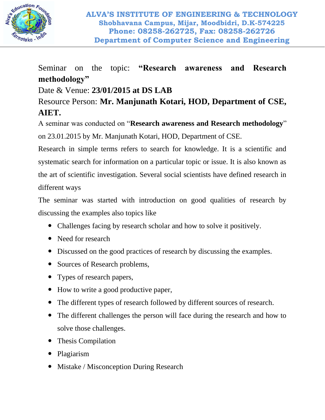

Seminar on the topic: **"Research awareness and Research methodology"**

Date & Venue: **23/01/2015 at DS LAB**

Resource Person: **Mr. Manjunath Kotari, HOD, Department of CSE, AIET.**

A seminar was conducted on "**Research awareness and Research methodology**" on 23.01.2015 by Mr. Manjunath Kotari, HOD, Department of CSE.

Research in simple terms refers to search for knowledge. It is a scientific and systematic search for information on a particular topic or issue. It is also known as the art of scientific investigation. Several social scientists have defined research in different ways

The seminar was started with introduction on good qualities of research by discussing the examples also topics like

- Challenges facing by research scholar and how to solve it positively.
- Need for research
- Discussed on the good practices of research by discussing the examples.
- Sources of Research problems,
- Types of research papers,
- How to write a good productive paper,
- The different types of research followed by different sources of research.
- The different challenges the person will face during the research and how to solve those challenges.
- Thesis Compilation
- Plagiarism
- Mistake / Misconception During Research